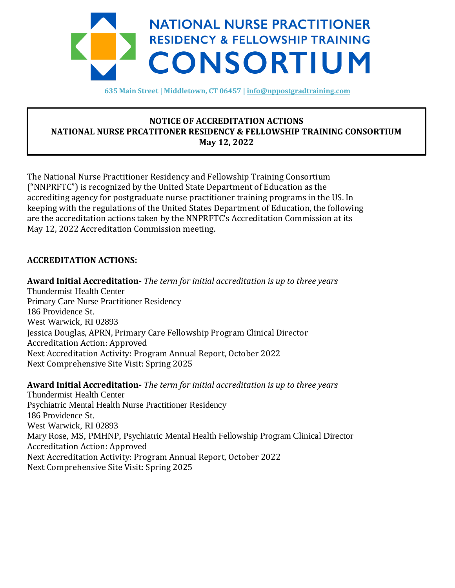

**635 Main Street | Middletown, CT 06457 [| info@nppostgradtraining.com](mailto:info@nppostgradtraining.com)**

## **NOTICE OF ACCREDITATION ACTIONS NATIONAL NURSE PRCATITONER RESIDENCY & FELLOWSHIP TRAINING CONSORTIUM May 12, 2022**

The National Nurse Practitioner Residency and Fellowship Training Consortium ("NNPRFTC") is recognized by the United State Department of Education as the accrediting agency for postgraduate nurse practitioner training programs in the US. In keeping with the regulations of the United States Department of Education, the following are the accreditation actions taken by the NNPRFTC's Accreditation Commission at its May 12, 2022 Accreditation Commission meeting.

## **ACCREDITATION ACTIONS:**

.

Kwn

**Award Initial Accreditation-** *The term for initial accreditation is up to three years* Thundermist Health Center Primary Care Nurse Practitioner Residency 186 Providence St. West Warwick, RI 02893 Jessica Douglas, APRN, Primary Care Fellowship Program Clinical Director Accreditation Action: Approved Next Accreditation Activity: Program Annual Report, October 2022 Next Comprehensive Site Visit: Spring 2025

**Award Initial Accreditation-** *The term for initial accreditation is up to three years* Thundermist Health Center Psychiatric Mental Health Nurse Practitioner Residency 186 Providence St. West Warwick, RI 02893 Mary Rose, MS, PMHNP, Psychiatric Mental Health Fellowship Program Clinical Director Accreditation Action: Approved Next Accreditation Activity: Program Annual Report, October 2022 Next Comprehensive Site Visit: Spring 2025